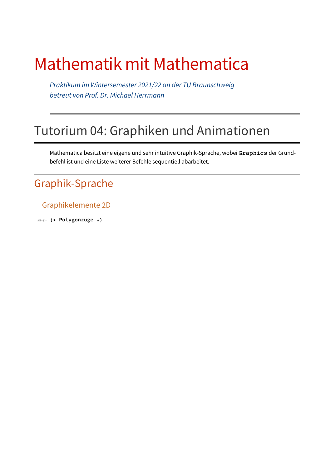# Mathematik mit Mathematica

*Praktikum im Wintersemester 2021/22 an der TU Braunschweig betreut von Prof. Dr. Michael Herrmann*

## Tutorium 04: Graphiken und Animationen

Mathematica besitzt eine eigene und sehr intuitive Graphik-Sprache, wobei Graphics der Grundbefehl ist und eine Liste weiterer Befehle sequentiell abarbeitet.

#### Graphik-Sprache

#### Graphikelemente 2D

*In[*!*]:=* **(\* Polygonzüge \*)**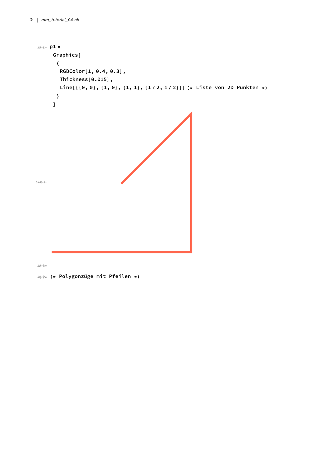```
In[!]:= p1 =
      Graphics[
       {
        RGBColor[1, 0.4, 0.3],
        Thickness[0.015],
        Line[{\{0, 0\}, \{1, 0\}, \{1, 1\}, \{1/2, 1/2\}}] (* Liste von 2D Punkten *)
       }
      ]
Out[!]=
```
*In[*!*]:=*

*In[*!*]:=* **(\* Polygonzüge mit Pfeilen \*)**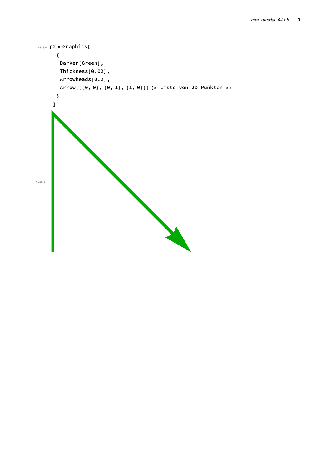```
In[!]:= p2 = Graphics[
       {
        Darker[Green],
        Thickness[0.02],
        Arrowheads[0.2],
        Arrow[{{0, 0}, {0, 1}, {1, 0}}] (* Liste von 2D Punkten *)
       }
      ]
Out[!]=
```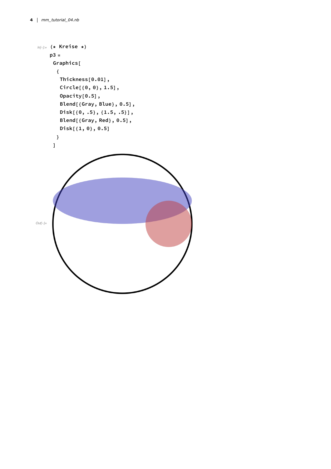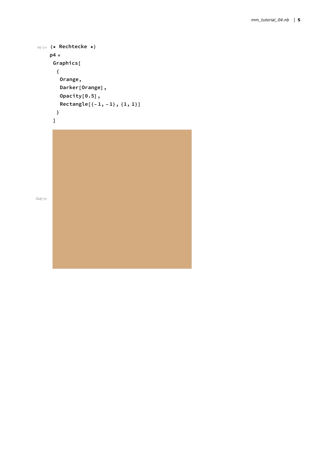```
In[!]:= (* Rechtecke *)
    p4 =
     Graphics[
      {
       Orange,
       Darker[Orange],
       Opacity[0.5],
       Rectangle[{-1, -1}, {1, 1}]
      }
     ]
```
*Out[*!*]=*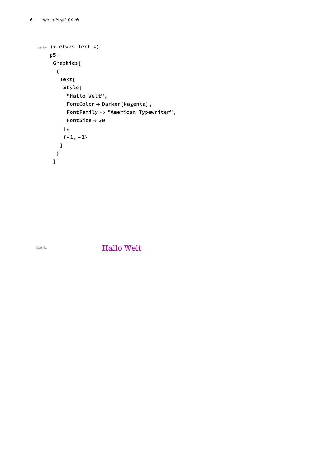```
In[!]:= (* etwas Text *)
    p5 =
     Graphics[
      {
       Text[
        Style[
          "Hallo Welt",
          FontColor → Darker[Magenta],
          FontFamily -> "American Typewriter",
          FontSize → 20
        ],
         {-1, -1}
       ]
      }
     ]
```
*Out[*!*]=* Hallo Welt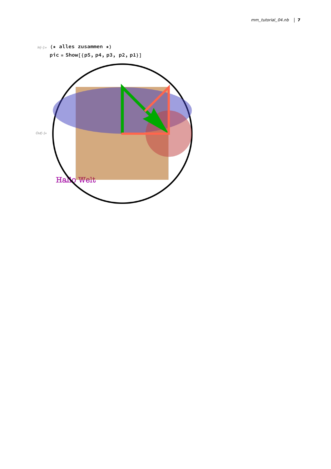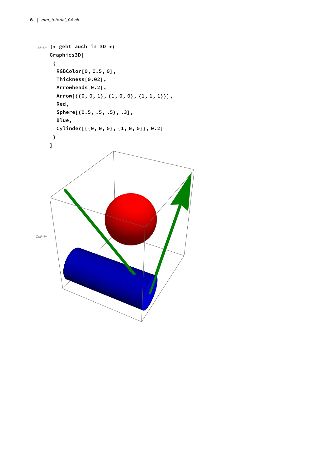```
In[!]:= (* geht auch in 3D *)
    Graphics3D[
      {
       RGBColor[0, 0.5, 0],
       Thickness[0.02],
       Arrowheads[0.2],
       Arrow[{{0, 0, 1}, {1, 0, 0}, {1, 1, 1}}],
       Red,
       Sphere[{0.5, .5, .5}, .3],
       Blue,
       Cylinder[{{0, 0, 0}, {1, 0, 0}}, 0.2]
      }
    ]
Out[!]=
```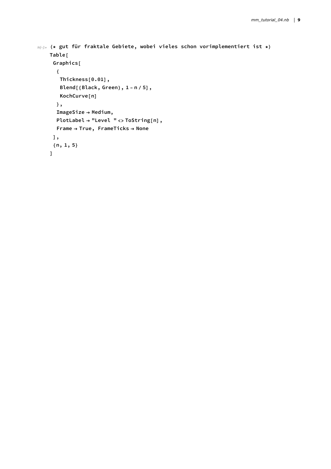```
In[!]:= (* gut für fraktale Gebiete, wobei vieles schon vorimplementiert ist *)
    Table[
     Graphics[
      {
       Thickness[0.01],
       Blend[{Black, Green}, 1 - n / 5],
       KochCurve[n]
      },
      ImageSize → Medium,
      PlotLabel → "Level " <> ToString[n],
      Frame → True, FrameTicks → None
     ],
     {n, 1, 5}
    ]
```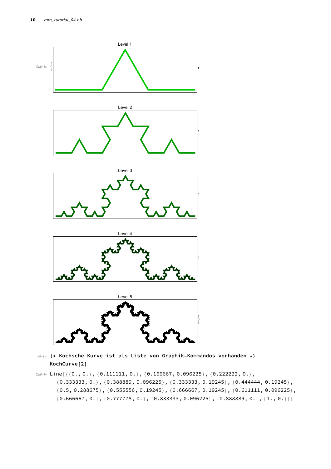

- *In[*!*]:=* **(\* Kochsche Kurve ist als Liste von Graphik-Kommandos vorhanden \*) KochCurve[2]**
- *Out[*!*]=* Line[{{0., 0.}, {0.111111, 0.}, {0.166667, 0.096225}, {0.222222, 0.}, {0.333333, 0.}, {0.388889, 0.096225}, {0.333333, 0.19245}, {0.444444, 0.19245},  ${0.5, 0.288675}, {0.555556, 0.19245}, {0.666667, 0.19245}, {0.611111, 0.096225},$  ${0.666667, 0.}$ ,  ${0.777778, 0.}$ ,  ${0.833333, 0.096225}$ ,  ${0.888889, 0.}$ ,  ${1., 0.}$ ]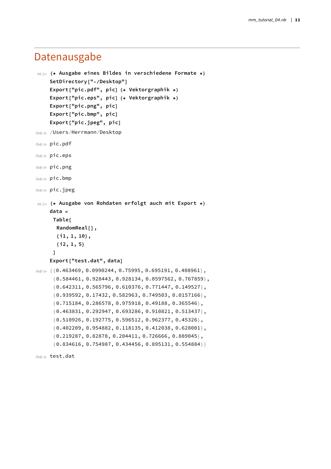#### Datenausgabe

```
In[!]:= (* Ausgabe eines Bildes in verschiedene Formate *)
    SetDirectory["~/Desktop"]
    Export["pic.pdf", pic] (* Vektorgraphik *)
    Export["pic.eps", pic] (* Vektorgraphik *)
    Export["pic.png", pic]
    Export["pic.bmp", pic]
    Export["pic.jpeg", pic]
Out[!]= /Users/Herrmann/Desktop
Out[!]= pic.pdf
Out[!]= pic.eps
Out[!]= pic.png
Out[!]= pic.bmp
Out[!]= pic.jpeg
In[!]:= (* Ausgabe von Rohdaten erfolgt auch mit Export *)
    data =
     Table[
       RandomReal[],
       {i1, 1, 10},
       {i2, 1, 5}
      ]
    Export["test.dat", data]
Out[!]= {{0.463469, 0.0990244, 0.75995, 0.695191, 0.408961},
      {0.584461, 0.928443, 0.928134, 0.0597562, 0.767859},
      {0.642311, 0.565796, 0.610376, 0.771447, 0.149527},
      {0.939592, 0.17432, 0.582963, 0.749503, 0.0157166},
      {0.715184, 0.286578, 0.975918, 0.49188, 0.365546},
      {0.463831, 0.292947, 0.693286, 0.910821, 0.513437},
      {0.510926, 0.192775, 0.596512, 0.962377, 0.45326},
      {0.402209, 0.954882, 0.118135, 0.412038, 0.628001},
      {0.219287, 0.82878, 0.204411, 0.726666, 0.889045},
      {0.834616, 0.754987, 0.434456, 0.895131, 0.554884}}
```

```
Out[!]= test.dat
```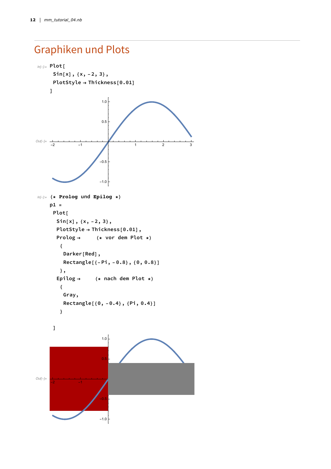### Graphiken und Plots

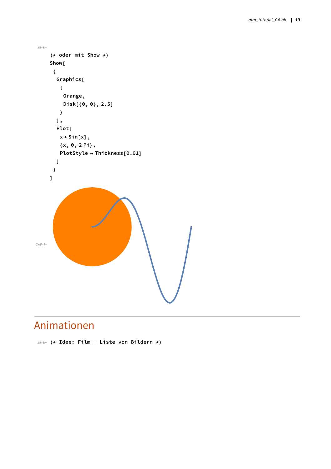```
In[!]:=
     (* oder mit Show *)
     Show[
      {
       Graphics[
        {
         Orange,
         Disk[{0, 0}, 2.5]
        }
       ],
       Plot[
        x * Sin[x],
        {x, 0, 2 Pi},
        PlotStyle → Thickness[0.01]
       ]
      }
     ]
Out[!]=
```
### Animationen

*In[*!*]:=* **(\* Idee: Film = Liste von Bildern \*)**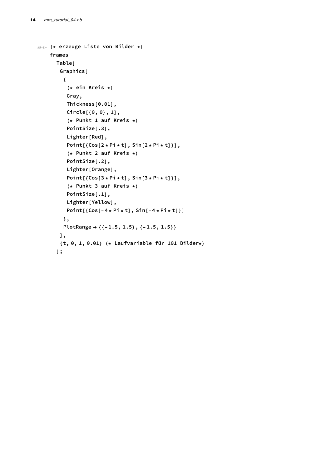```
In[!]:= (* erzeuge Liste von Bilder *)
    frames =
      Table[
       Graphics[
         {
          (* ein Kreis *)
          Gray,
          Thickness[0.01],
          Circle[{0, 0}, 1],
          (* Punkt 1 auf Kreis *)
          PointSize[.3],
          Lighter[Red],
          Point[{Cos[2 * Pi * t], Sin[2 * Pi * t]}],
          (* Punkt 2 auf Kreis *)
          PointSize[.2],
          Lighter[Orange],
          Point[{Cos[3 * Pi * t], Sin[3 * Pi * t]}],
          (* Punkt 3 auf Kreis *)
          PointSize[.1],
          Lighter[Yellow],
          Point[{Cos[-4 * Pi * t], Sin[-4 * Pi * t]}]
         },
         PlotRange → {{-1.5, 1.5}, {-1.5, 1.5}}
       ],
        {t, 0, 1, 0.01} (* Laufvariable für 101 Bilder*)
      ];
```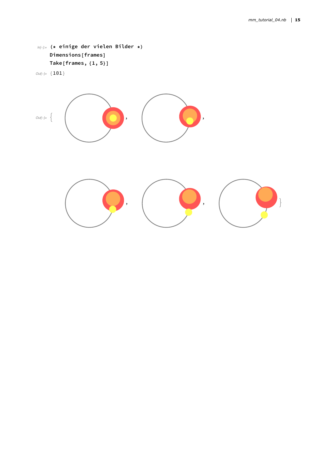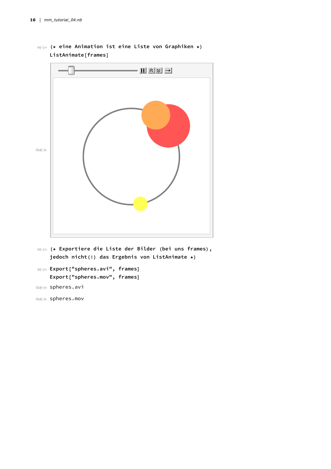

*In[*!*]:=* **(\* eine Animation ist eine Liste von Graphiken \*) ListAnimate[frames]**

*In[*!*]:=* **(\* Exportiere die Liste der Bilder (bei uns frames), jedoch nicht(!) das Ergebnis von ListAnimate \*)**

```
In[!]:= Export["spheres.avi", frames]
    Export["spheres.mov", frames]
```

```
Out[!]= spheres.avi
```
*Out[*!*]=* spheres.mov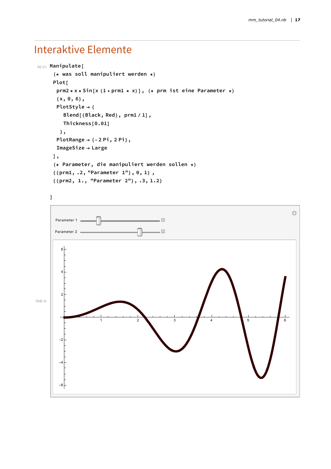### Interaktive Elemente

```
In[!]:= Manipulate[
     (* was soll manipuliert werden *)
     Plot[
      prm2 * x * Sin[x (1 + prm1 * x)], (* prm ist eine Parameter *)
      {x, 0, 6},
      PlotStyle → {
         Blend[{Black, Red}, prm1 / 1],
        Thickness[0.01]
       },
      PlotRange → {-2 Pi, 2 Pi},
      ImageSize → Large
     ],
     (* Parameter, die manipuliert werden sollen *)
     {{prm1, .2, "Parameter 1"}, 0, 1} ,
     {{prm2, 1., "Parameter 2"}, .3, 1.2}
```